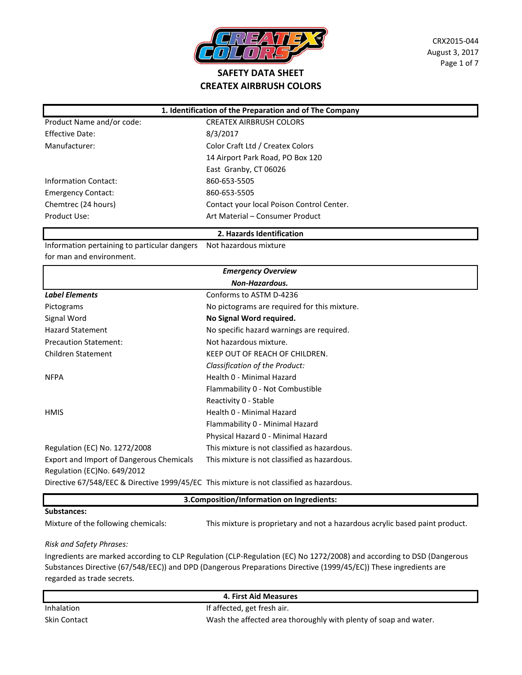

CRX2015-044 August 3, 2017 Page 1 of 7

### Product Name and/or code: CREATEX AIRBRUSH COLORS Effective Date: 8/3/2017 Manufacturer: Color Craft Ltd / Createx Colors 14 Airport Park Road, PO Box 120 East Granby, CT 06026 Information Contact: 860-653-5505 Emergency Contact: 860-653-5505 Chemtrec (24 hours) Contact your local Poison Control Center. Product Use: National Art Material – Consumer Product **1. Identification of the Preparation and of The Company**

#### **2. Hazards Identification**

Information pertaining to particular dangers Not hazardous mixture for man and environment.

| <b>Emergency Overview</b>                                                                |                                              |  |
|------------------------------------------------------------------------------------------|----------------------------------------------|--|
| <b>Non-Hazardous.</b>                                                                    |                                              |  |
| <b>Label Elements</b>                                                                    | Conforms to ASTM D-4236                      |  |
| Pictograms                                                                               | No pictograms are required for this mixture. |  |
| Signal Word                                                                              | No Signal Word required.                     |  |
| <b>Hazard Statement</b>                                                                  | No specific hazard warnings are required.    |  |
| <b>Precaution Statement:</b>                                                             | Not hazardous mixture.                       |  |
| <b>Children Statement</b>                                                                | KEEP OUT OF REACH OF CHILDREN.               |  |
|                                                                                          | Classification of the Product:               |  |
| <b>NFPA</b>                                                                              | Health 0 - Minimal Hazard                    |  |
|                                                                                          | Flammability 0 - Not Combustible             |  |
|                                                                                          | Reactivity 0 - Stable                        |  |
| <b>HMIS</b>                                                                              | Health 0 - Minimal Hazard                    |  |
|                                                                                          | Flammability 0 - Minimal Hazard              |  |
|                                                                                          | Physical Hazard 0 - Minimal Hazard           |  |
| Regulation (EC) No. 1272/2008                                                            | This mixture is not classified as hazardous. |  |
| Export and Import of Dangerous Chemicals                                                 | This mixture is not classified as hazardous. |  |
| Regulation (EC)No. 649/2012                                                              |                                              |  |
| Directive 67/548/EEC & Directive 1999/45/EC This mixture is not classified as hazardous. |                                              |  |

# **Substances:** Mixture of the following chemicals: This mixture is proprietary and not a hazardous acrylic based paint product. **3.Composition/Information on Ingredients:**

*Risk and Safety Phrases:*

Ingredients are marked according to CLP Regulation (CLP-Regulation (EC) No 1272/2008) and according to DSD (Dangerous Substances Directive (67/548/EEC)) and DPD (Dangerous Preparations Directive (1999/45/EC)) These ingredients are regarded as trade secrets.

### Inhalation Inhalation Intervention and If affected, get fresh air. Skin Contact Wash the affected area thoroughly with plenty of soap and water. **4. First Aid Measures**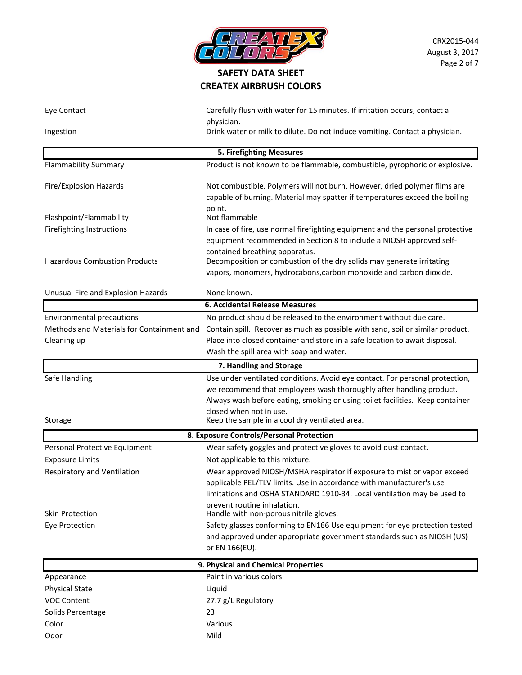

| Eye Contact                                           | Carefully flush with water for 15 minutes. If irritation occurs, contact a                                                                                                                                                                                                                                        |  |  |
|-------------------------------------------------------|-------------------------------------------------------------------------------------------------------------------------------------------------------------------------------------------------------------------------------------------------------------------------------------------------------------------|--|--|
| Ingestion                                             | physician.<br>Drink water or milk to dilute. Do not induce vomiting. Contact a physician.                                                                                                                                                                                                                         |  |  |
| <b>5. Firefighting Measures</b>                       |                                                                                                                                                                                                                                                                                                                   |  |  |
| <b>Flammability Summary</b>                           | Product is not known to be flammable, combustible, pyrophoric or explosive.                                                                                                                                                                                                                                       |  |  |
| Fire/Explosion Hazards                                | Not combustible. Polymers will not burn. However, dried polymer films are<br>capable of burning. Material may spatter if temperatures exceed the boiling                                                                                                                                                          |  |  |
| Flashpoint/Flammability                               | point.<br>Not flammable                                                                                                                                                                                                                                                                                           |  |  |
| Firefighting Instructions                             | In case of fire, use normal firefighting equipment and the personal protective                                                                                                                                                                                                                                    |  |  |
| <b>Hazardous Combustion Products</b>                  | equipment recommended in Section 8 to include a NIOSH approved self-<br>contained breathing apparatus.<br>Decomposition or combustion of the dry solids may generate irritating<br>vapors, monomers, hydrocabons, carbon monoxide and carbon dioxide.                                                             |  |  |
| Unusual Fire and Explosion Hazards                    | None known.                                                                                                                                                                                                                                                                                                       |  |  |
|                                                       | <b>6. Accidental Release Measures</b>                                                                                                                                                                                                                                                                             |  |  |
| <b>Environmental precautions</b>                      | No product should be released to the environment without due care.                                                                                                                                                                                                                                                |  |  |
| Methods and Materials for Containment and             | Contain spill. Recover as much as possible with sand, soil or similar product.                                                                                                                                                                                                                                    |  |  |
| Cleaning up                                           | Place into closed container and store in a safe location to await disposal.                                                                                                                                                                                                                                       |  |  |
|                                                       | Wash the spill area with soap and water.                                                                                                                                                                                                                                                                          |  |  |
|                                                       | 7. Handling and Storage                                                                                                                                                                                                                                                                                           |  |  |
| Safe Handling<br>Storage                              | Use under ventilated conditions. Avoid eye contact. For personal protection,<br>we recommend that employees wash thoroughly after handling product.<br>Always wash before eating, smoking or using toilet facilities. Keep container<br>closed when not in use.<br>Keep the sample in a cool dry ventilated area. |  |  |
|                                                       | 8. Exposure Controls/Personal Protection                                                                                                                                                                                                                                                                          |  |  |
| Personal Protective Equipment                         | Wear safety goggles and protective gloves to avoid dust contact.                                                                                                                                                                                                                                                  |  |  |
| <b>Exposure Limits</b>                                | Not applicable to this mixture.                                                                                                                                                                                                                                                                                   |  |  |
| Respiratory and Ventilation<br><b>Skin Protection</b> | Wear approved NIOSH/MSHA respirator if exposure to mist or vapor exceed<br>applicable PEL/TLV limits. Use in accordance with manufacturer's use<br>limitations and OSHA STANDARD 1910-34. Local ventilation may be used to<br>prevent routine inhalation.<br>Handle with non-porous nitrile gloves.               |  |  |
| Eye Protection                                        | Safety glasses conforming to EN166 Use equipment for eye protection tested                                                                                                                                                                                                                                        |  |  |
|                                                       | and approved under appropriate government standards such as NIOSH (US)<br>or EN 166(EU).                                                                                                                                                                                                                          |  |  |
| 9. Physical and Chemical Properties                   |                                                                                                                                                                                                                                                                                                                   |  |  |
| Appearance                                            | Paint in various colors                                                                                                                                                                                                                                                                                           |  |  |
| <b>Physical State</b>                                 | Liquid                                                                                                                                                                                                                                                                                                            |  |  |
| <b>VOC Content</b>                                    | 27.7 g/L Regulatory                                                                                                                                                                                                                                                                                               |  |  |
| Solids Percentage                                     | 23                                                                                                                                                                                                                                                                                                                |  |  |
| Color                                                 | Various                                                                                                                                                                                                                                                                                                           |  |  |
| Odor                                                  | Mild                                                                                                                                                                                                                                                                                                              |  |  |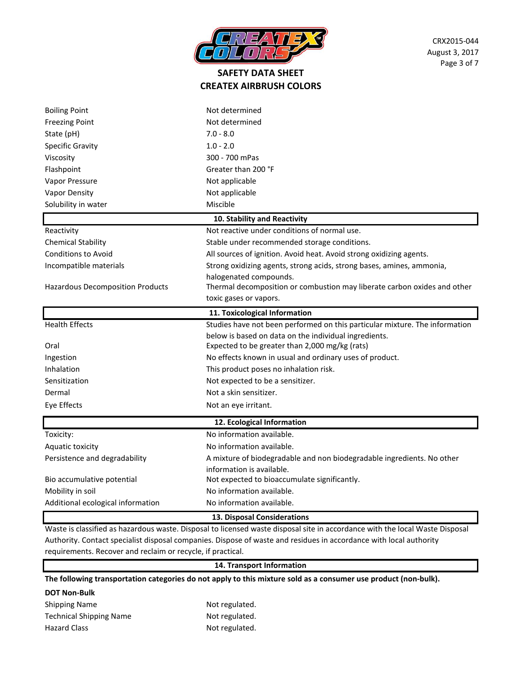

| <b>Boiling Point</b>                    | Not determined                                                                                                    |  |
|-----------------------------------------|-------------------------------------------------------------------------------------------------------------------|--|
| <b>Freezing Point</b>                   | Not determined                                                                                                    |  |
| State (pH)                              | $7.0 - 8.0$                                                                                                       |  |
| <b>Specific Gravity</b>                 | $1.0 - 2.0$                                                                                                       |  |
| Viscosity                               | 300 - 700 mPas                                                                                                    |  |
| Flashpoint                              | Greater than 200 °F                                                                                               |  |
| Vapor Pressure                          | Not applicable                                                                                                    |  |
| Vapor Density                           | Not applicable                                                                                                    |  |
| Solubility in water                     | Miscible                                                                                                          |  |
|                                         | 10. Stability and Reactivity                                                                                      |  |
| Reactivity                              | Not reactive under conditions of normal use.                                                                      |  |
| <b>Chemical Stability</b>               | Stable under recommended storage conditions.                                                                      |  |
| <b>Conditions to Avoid</b>              | All sources of ignition. Avoid heat. Avoid strong oxidizing agents.                                               |  |
| Incompatible materials                  | Strong oxidizing agents, strong acids, strong bases, amines, ammonia,                                             |  |
|                                         | halogenated compounds.                                                                                            |  |
| <b>Hazardous Decomposition Products</b> | Thermal decomposition or combustion may liberate carbon oxides and other                                          |  |
|                                         | toxic gases or vapors.                                                                                            |  |
|                                         | 11. Toxicological Information                                                                                     |  |
| <b>Health Effects</b>                   | Studies have not been performed on this particular mixture. The information                                       |  |
|                                         | below is based on data on the individual ingredients.                                                             |  |
| Oral                                    | Expected to be greater than 2,000 mg/kg (rats)                                                                    |  |
| Ingestion                               | No effects known in usual and ordinary uses of product.                                                           |  |
| Inhalation                              | This product poses no inhalation risk.                                                                            |  |
| Sensitization                           | Not expected to be a sensitizer.                                                                                  |  |
| Dermal                                  | Not a skin sensitizer.                                                                                            |  |
| Eye Effects                             | Not an eye irritant.                                                                                              |  |
| 12. Ecological Information              |                                                                                                                   |  |
| Toxicity:                               | No information available.                                                                                         |  |
| Aquatic toxicity                        | No information available.                                                                                         |  |
| Persistence and degradability           | A mixture of biodegradable and non biodegradable ingredients. No other                                            |  |
|                                         | information is available.                                                                                         |  |
| Bio accumulative potential              | Not expected to bioaccumulate significantly.                                                                      |  |
| Mobility in soil                        | No information available.                                                                                         |  |
| Additional ecological information       | No information available.                                                                                         |  |
| 13. Disposal Considerations             |                                                                                                                   |  |
|                                         | International Acciding to the Dictional Community of the University of the Dictional African Conditional Internet |  |

te is classified as hazardous waste. Disposal to licensed waste disposal site in accordance with the local Waste Disposal Authority. Contact specialist disposal companies. Dispose of waste and residues in accordance with local authority requirements. Recover and reclaim or recycle, if practical.

#### **14. Transport Information**

**The following transportation categories do not apply to this mixture sold as a consumer use product (non-bulk).**

#### **DOT Non-Bulk**

| <b>Shipping Name</b>           | Not regulated. |
|--------------------------------|----------------|
| <b>Technical Shipping Name</b> | Not regulated. |
| <b>Hazard Class</b>            | Not regulated. |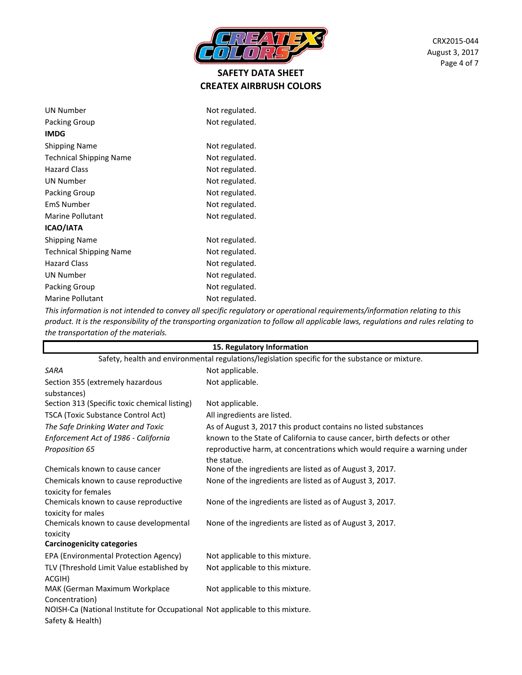

| <b>UN Number</b>               | Not regulated. |
|--------------------------------|----------------|
| Packing Group                  | Not regulated. |
| <b>IMDG</b>                    |                |
| <b>Shipping Name</b>           | Not regulated. |
| <b>Technical Shipping Name</b> | Not regulated. |
| <b>Hazard Class</b>            | Not regulated. |
| <b>UN Number</b>               | Not regulated. |
| Packing Group                  | Not regulated. |
| <b>EmS Number</b>              | Not regulated. |
| <b>Marine Pollutant</b>        | Not regulated. |
| ICAO/IATA                      |                |
| Shipping Name                  | Not regulated. |
| <b>Technical Shipping Name</b> | Not regulated. |
| <b>Hazard Class</b>            | Not regulated. |
| <b>UN Number</b>               | Not regulated. |
| <b>Packing Group</b>           | Not regulated. |
| Marine Pollutant               | Not regulated. |
|                                |                |

*This information is not intended to convey all specific regulatory or operational requirements/information relating to this product. It is the responsibility of the transporting organization to follow all applicable laws, regulations and rules relating to the transportation of the materials.* 

|                                                                                                 | 15. Regulatory Information                                               |
|-------------------------------------------------------------------------------------------------|--------------------------------------------------------------------------|
| Safety, health and environmental regulations/legislation specific for the substance or mixture. |                                                                          |
| <b>SARA</b>                                                                                     | Not applicable.                                                          |
| Section 355 (extremely hazardous                                                                | Not applicable.                                                          |
| substances)                                                                                     |                                                                          |
| Section 313 (Specific toxic chemical listing)                                                   | Not applicable.                                                          |
| TSCA (Toxic Substance Control Act)                                                              | All ingredients are listed.                                              |
| The Safe Drinking Water and Toxic                                                               | As of August 3, 2017 this product contains no listed substances          |
| Enforcement Act of 1986 - California                                                            | known to the State of California to cause cancer, birth defects or other |
| Proposition 65                                                                                  | reproductive harm, at concentrations which would require a warning under |
|                                                                                                 | the statue.                                                              |
| Chemicals known to cause cancer                                                                 | None of the ingredients are listed as of August 3, 2017.                 |
| Chemicals known to cause reproductive                                                           | None of the ingredients are listed as of August 3, 2017.                 |
| toxicity for females                                                                            |                                                                          |
| Chemicals known to cause reproductive                                                           | None of the ingredients are listed as of August 3, 2017.                 |
| toxicity for males                                                                              |                                                                          |
| Chemicals known to cause developmental                                                          | None of the ingredients are listed as of August 3, 2017.                 |
| toxicity                                                                                        |                                                                          |
| <b>Carcinogenicity categories</b>                                                               |                                                                          |
| EPA (Environmental Protection Agency)                                                           | Not applicable to this mixture.                                          |
| TLV (Threshold Limit Value established by                                                       | Not applicable to this mixture.                                          |
| ACGIH)                                                                                          |                                                                          |
| MAK (German Maximum Workplace                                                                   | Not applicable to this mixture.                                          |
| Concentration)                                                                                  |                                                                          |
| NOISH-Ca (National Institute for Occupational Not applicable to this mixture.                   |                                                                          |
| Safety & Health)                                                                                |                                                                          |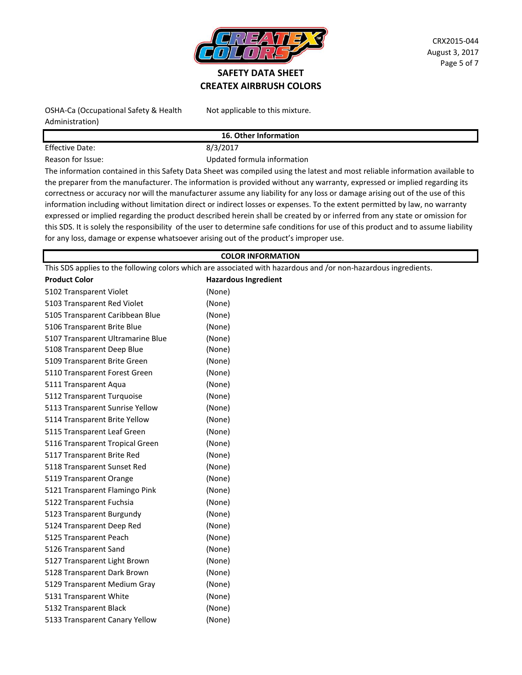

OSHA-Ca (Occupational Safety & Health Administration)

Not applicable to this mixture.

**16. Other Information**

Effective Date: 8/3/2017

Reason for Issue: The Mateur Controller and Mateur Updated formula information The information contained in this Safety Data Sheet was compiled using the latest and most reliable information available to the preparer from the manufacturer. The information is provided without any warranty, expressed or implied regarding its correctness or accuracy nor will the manufacturer assume any liability for any loss or damage arising out of the use of this information including without limitation direct or indirect losses or expenses. To the extent permitted by law, no warranty expressed or implied regarding the product described herein shall be created by or inferred from any state or omission for this SDS. It is solely the responsibility of the user to determine safe conditions for use of this product and to assume liability

#### **COLOR INFORMATION**

This SDS applies to the following colors which are associated with hazardous and /or non-hazardous ingredients.

for any loss, damage or expense whatsoever arising out of the product's improper use.

| <b>Product Color</b>              | <b>Hazardous Ingredient</b> |
|-----------------------------------|-----------------------------|
| 5102 Transparent Violet           | (None)                      |
| 5103 Transparent Red Violet       | (None)                      |
| 5105 Transparent Caribbean Blue   | (None)                      |
| 5106 Transparent Brite Blue       | (None)                      |
| 5107 Transparent Ultramarine Blue | (None)                      |
| 5108 Transparent Deep Blue        | (None)                      |
| 5109 Transparent Brite Green      | (None)                      |
| 5110 Transparent Forest Green     | (None)                      |
| 5111 Transparent Aqua             | (None)                      |
| 5112 Transparent Turquoise        | (None)                      |
| 5113 Transparent Sunrise Yellow   | (None)                      |
| 5114 Transparent Brite Yellow     | (None)                      |
| 5115 Transparent Leaf Green       | (None)                      |
| 5116 Transparent Tropical Green   | (None)                      |
| 5117 Transparent Brite Red        | (None)                      |
| 5118 Transparent Sunset Red       | (None)                      |
| 5119 Transparent Orange           | (None)                      |
| 5121 Transparent Flamingo Pink    | (None)                      |
| 5122 Transparent Fuchsia          | (None)                      |
| 5123 Transparent Burgundy         | (None)                      |
| 5124 Transparent Deep Red         | (None)                      |
| 5125 Transparent Peach            | (None)                      |
| 5126 Transparent Sand             | (None)                      |
| 5127 Transparent Light Brown      | (None)                      |
| 5128 Transparent Dark Brown       | (None)                      |
| 5129 Transparent Medium Gray      | (None)                      |
| 5131 Transparent White            | (None)                      |
| 5132 Transparent Black            | (None)                      |
| 5133 Transparent Canary Yellow    | (None)                      |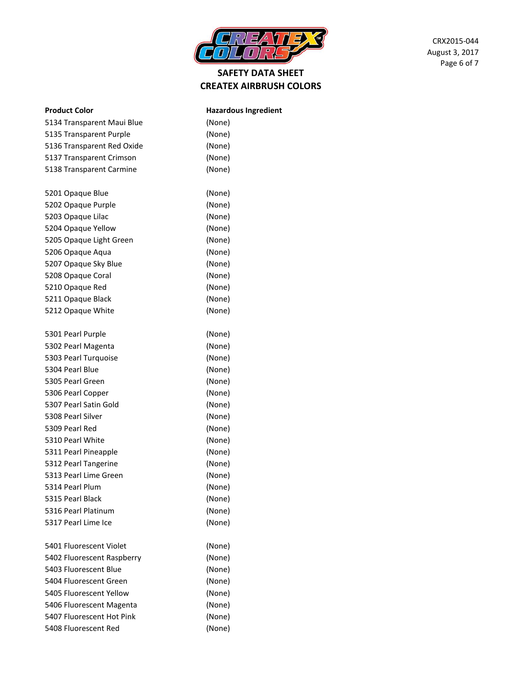

| <b>Product Color</b>       | <b>Hazardous Ingredient</b> |
|----------------------------|-----------------------------|
| 5134 Transparent Maui Blue | (None)                      |
| 5135 Transparent Purple    | (None)                      |
| 5136 Transparent Red Oxide | (None)                      |
| 5137 Transparent Crimson   | (None)                      |
| 5138 Transparent Carmine   | (None)                      |
| 5201 Opaque Blue           | (None)                      |
| 5202 Opaque Purple         | (None)                      |
| 5203 Opaque Lilac          | (None)                      |
| 5204 Opaque Yellow         | (None)                      |
| 5205 Opaque Light Green    | (None)                      |
| 5206 Opaque Aqua           | (None)                      |
| 5207 Opaque Sky Blue       | (None)                      |
| 5208 Opaque Coral          | (None)                      |
| 5210 Opaque Red            | (None)                      |
| 5211 Opaque Black          | (None)                      |
| 5212 Opaque White          | (None)                      |
| 5301 Pearl Purple          | (None)                      |
| 5302 Pearl Magenta         | (None)                      |
| 5303 Pearl Turquoise       | (None)                      |
| 5304 Pearl Blue            | (None)                      |
| 5305 Pearl Green           | (None)                      |
| 5306 Pearl Copper          | (None)                      |
| 5307 Pearl Satin Gold      | (None)                      |
| 5308 Pearl Silver          | (None)                      |
| 5309 Pearl Red             | (None)                      |
| 5310 Pearl White           | (None)                      |
| 5311 Pearl Pineapple       | (None)                      |
| 5312 Pearl Tangerine       | (None)                      |
| 5313 Pearl Lime Green      | (None)                      |
| 5314 Pearl Plum            | (None)                      |
| 5315 Pearl Black           | (None)                      |
| 5316 Pearl Platinum        | (None)                      |
| 5317 Pearl Lime Ice        | (None)                      |
| 5401 Fluorescent Violet    | (None)                      |
| 5402 Fluorescent Raspberry | (None)                      |
| 5403 Fluorescent Blue      | (None)                      |
| 5404 Fluorescent Green     | (None)                      |
| 5405 Fluorescent Yellow    | (None)                      |
| 5406 Fluorescent Magenta   | (None)                      |
| 5407 Fluorescent Hot Pink  | (None)                      |

5408 Fluorescent Red (None)

CRX2015-044 August 3, 2017 Page 6 of 7